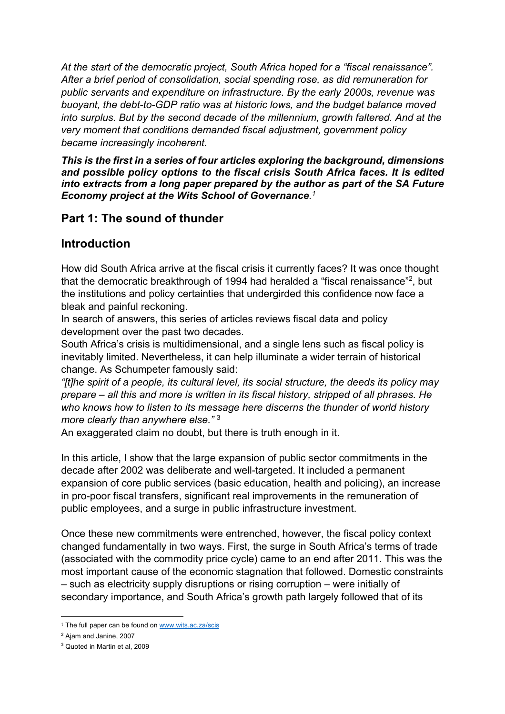*At the start of the democratic project, South Africa hoped for a "fiscal renaissance". After a brief period of consolidation, social spending rose, as did remuneration for public servants and expenditure on infrastructure. By the early 2000s, revenue was buoyant, the debt-to-GDP ratio was at historic lows, and the budget balance moved into surplus. But by the second decade of the millennium, growth faltered. And at the very moment that conditions demanded fiscal adjustment, government policy became increasingly incoherent.* 

*This is the first in a series of four articles exploring the background, dimensions and possible policy options to the fiscal crisis South Africa faces. It is edited into extracts from a long paper prepared by the author as part of the SA Future Economy project at the Wits School of Governance. 1*

# **Part 1: The sound of thunder**

# **Introduction**

How did South Africa arrive at the fiscal crisis it currently faces? It was once thought that the democratic breakthrough of 1994 had heralded a "fiscal renaissance"2, but the institutions and policy certainties that undergirded this confidence now face a bleak and painful reckoning.

In search of answers, this series of articles reviews fiscal data and policy development over the past two decades.

South Africa's crisis is multidimensional, and a single lens such as fiscal policy is inevitably limited. Nevertheless, it can help illuminate a wider terrain of historical change. As Schumpeter famously said:

*"[t]he spirit of a people, its cultural level, its social structure, the deeds its policy may prepare – all this and more is written in its fiscal history, stripped of all phrases. He who knows how to listen to its message here discerns the thunder of world history more clearly than anywhere else."* <sup>3</sup>

An exaggerated claim no doubt, but there is truth enough in it.

In this article, I show that the large expansion of public sector commitments in the decade after 2002 was deliberate and well-targeted. It included a permanent expansion of core public services (basic education, health and policing), an increase in pro-poor fiscal transfers, significant real improvements in the remuneration of public employees, and a surge in public infrastructure investment.

Once these new commitments were entrenched, however, the fiscal policy context changed fundamentally in two ways. First, the surge in South Africa's terms of trade (associated with the commodity price cycle) came to an end after 2011. This was the most important cause of the economic stagnation that followed. Domestic constraints – such as electricity supply disruptions or rising corruption – were initially of secondary importance, and South Africa's growth path largely followed that of its

<sup>&</sup>lt;sup>1</sup> The full paper can be found on www.wits.ac.za/scis

<sup>2</sup> Ajam and Janine, 2007

<sup>3</sup> Quoted in Martin et al, 2009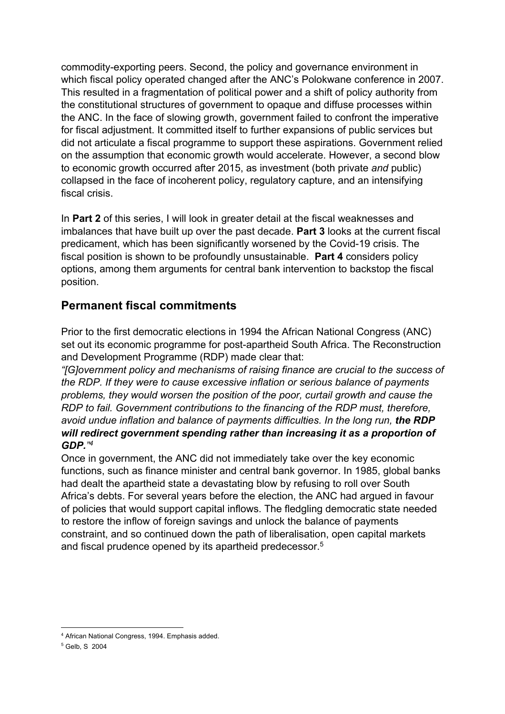commodity-exporting peers. Second, the policy and governance environment in which fiscal policy operated changed after the ANC's Polokwane conference in 2007. This resulted in a fragmentation of political power and a shift of policy authority from the constitutional structures of government to opaque and diffuse processes within the ANC. In the face of slowing growth, government failed to confront the imperative for fiscal adjustment. It committed itself to further expansions of public services but did not articulate a fiscal programme to support these aspirations. Government relied on the assumption that economic growth would accelerate. However, a second blow to economic growth occurred after 2015, as investment (both private *and* public) collapsed in the face of incoherent policy, regulatory capture, and an intensifying fiscal crisis.

In **Part 2** of this series, I will look in greater detail at the fiscal weaknesses and imbalances that have built up over the past decade. **Part 3** looks at the current fiscal predicament, which has been significantly worsened by the Covid-19 crisis. The fiscal position is shown to be profoundly unsustainable. **Part 4** considers policy options, among them arguments for central bank intervention to backstop the fiscal position.

# **Permanent fiscal commitments**

Prior to the first democratic elections in 1994 the African National Congress (ANC) set out its economic programme for post-apartheid South Africa. The Reconstruction and Development Programme (RDP) made clear that:

*"[G]overnment policy and mechanisms of raising finance are crucial to the success of the RDP. If they were to cause excessive inflation or serious balance of payments problems, they would worsen the position of the poor, curtail growth and cause the RDP to fail. Government contributions to the financing of the RDP must, therefore, avoid undue inflation and balance of payments difficulties. In the long run, the RDP will redirect government spending rather than increasing it as a proportion of GDP." 4*

Once in government, the ANC did not immediately take over the key economic functions, such as finance minister and central bank governor. In 1985, global banks had dealt the apartheid state a devastating blow by refusing to roll over South Africa's debts. For several years before the election, the ANC had argued in favour of policies that would support capital inflows. The fledgling democratic state needed to restore the inflow of foreign savings and unlock the balance of payments constraint, and so continued down the path of liberalisation, open capital markets and fiscal prudence opened by its apartheid predecessor. 5

<sup>4</sup> African National Congress, 1994. Emphasis added.

<sup>5</sup> Gelb, S 2004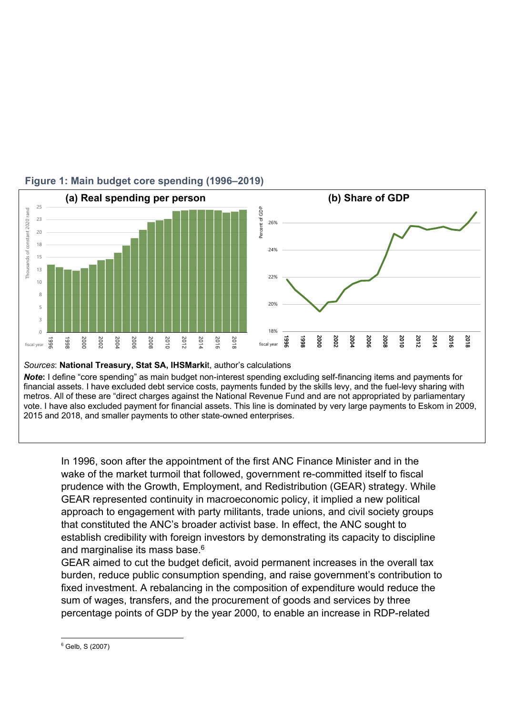

## **Figure 1: Main budget core spending (1996–2019)**

*Note***:** I define "core spending" as main budget non-interest spending excluding self-financing items and payments for financial assets. I have excluded debt service costs, payments funded by the skills levy, and the fuel-levy sharing with metros. All of these are "direct charges against the National Revenue Fund and are not appropriated by parliamentary vote. I have also excluded payment for financial assets. This line is dominated by very large payments to Eskom in 2009,

2015 and 2018, and smaller payments to other state-owned enterprises.

In 1996, soon after the appointment of the first ANC Finance Minister and in the wake of the market turmoil that followed, government re-committed itself to fiscal prudence with the Growth, Employment, and Redistribution (GEAR) strategy. While GEAR represented continuity in macroeconomic policy, it implied a new political approach to engagement with party militants, trade unions, and civil society groups that constituted the ANC's broader activist base. In effect, the ANC sought to establish credibility with foreign investors by demonstrating its capacity to discipline and marginalise its mass base. $^6$ 

GEAR aimed to cut the budget deficit, avoid permanent increases in the overall tax burden, reduce public consumption spending, and raise government's contribution to fixed investment. A rebalancing in the composition of expenditure would reduce the sum of wages, transfers, and the procurement of goods and services by three percentage points of GDP by the year 2000, to enable an increase in RDP-related

 $6$  Gelb, S (2007)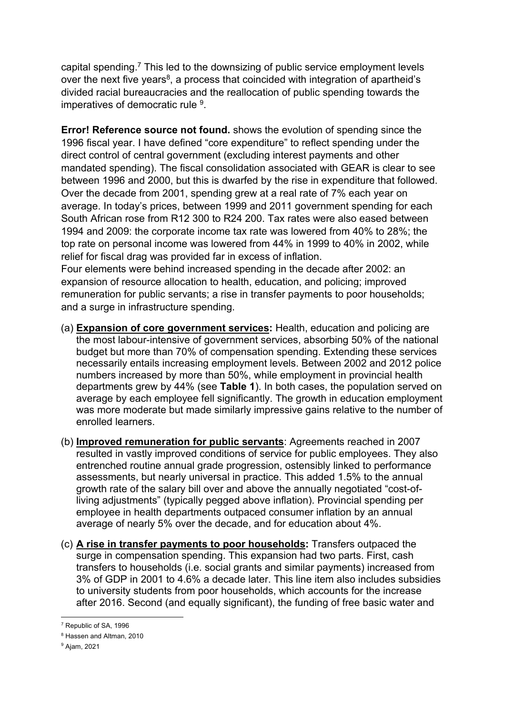capital spending.<sup>7</sup> This led to the downsizing of public service employment levels over the next five years<sup>8</sup>, a process that coincided with integration of apartheid's divided racial bureaucracies and the reallocation of public spending towards the imperatives of democratic rule 9.

**Error! Reference source not found.** shows the evolution of spending since the 1996 fiscal year. I have defined "core expenditure" to reflect spending under the direct control of central government (excluding interest payments and other mandated spending). The fiscal consolidation associated with GEAR is clear to see between 1996 and 2000, but this is dwarfed by the rise in expenditure that followed. Over the decade from 2001, spending grew at a real rate of 7% each year on average. In today's prices, between 1999 and 2011 government spending for each South African rose from R12 300 to R24 200. Tax rates were also eased between 1994 and 2009: the corporate income tax rate was lowered from 40% to 28%; the top rate on personal income was lowered from 44% in 1999 to 40% in 2002, while relief for fiscal drag was provided far in excess of inflation.

Four elements were behind increased spending in the decade after 2002: an expansion of resource allocation to health, education, and policing; improved remuneration for public servants; a rise in transfer payments to poor households; and a surge in infrastructure spending.

- (a) **Expansion of core government services:** Health, education and policing are the most labour-intensive of government services, absorbing 50% of the national budget but more than 70% of compensation spending. Extending these services necessarily entails increasing employment levels. Between 2002 and 2012 police numbers increased by more than 50%, while employment in provincial health departments grew by 44% (see **Table 1**). In both cases, the population served on average by each employee fell significantly. The growth in education employment was more moderate but made similarly impressive gains relative to the number of enrolled learners.
- (b) **Improved remuneration for public servants**: Agreements reached in 2007 resulted in vastly improved conditions of service for public employees. They also entrenched routine annual grade progression, ostensibly linked to performance assessments, but nearly universal in practice. This added 1.5% to the annual growth rate of the salary bill over and above the annually negotiated "cost-ofliving adjustments" (typically pegged above inflation). Provincial spending per employee in health departments outpaced consumer inflation by an annual average of nearly 5% over the decade, and for education about 4%.
- (c) **A rise in transfer payments to poor households:** Transfers outpaced the surge in compensation spending. This expansion had two parts. First, cash transfers to households (i.e. social grants and similar payments) increased from 3% of GDP in 2001 to 4.6% a decade later. This line item also includes subsidies to university students from poor households, which accounts for the increase after 2016. Second (and equally significant), the funding of free basic water and

<sup>7</sup> Republic of SA, 1996

<sup>8</sup> Hassen and Altman, 2010

<sup>9</sup> Ajam, 2021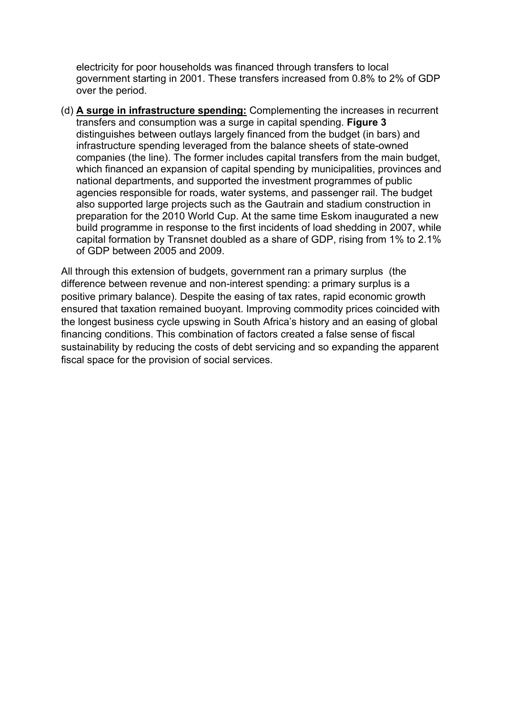electricity for poor households was financed through transfers to local government starting in 2001. These transfers increased from 0.8% to 2% of GDP over the period.

(d) **A surge in infrastructure spending:** Complementing the increases in recurrent transfers and consumption was a surge in capital spending. **Figure 3** distinguishes between outlays largely financed from the budget (in bars) and infrastructure spending leveraged from the balance sheets of state-owned companies (the line). The former includes capital transfers from the main budget, which financed an expansion of capital spending by municipalities, provinces and national departments, and supported the investment programmes of public agencies responsible for roads, water systems, and passenger rail. The budget also supported large projects such as the Gautrain and stadium construction in preparation for the 2010 World Cup. At the same time Eskom inaugurated a new build programme in response to the first incidents of load shedding in 2007, while capital formation by Transnet doubled as a share of GDP, rising from 1% to 2.1% of GDP between 2005 and 2009.

All through this extension of budgets, government ran a primary surplus (the difference between revenue and non-interest spending: a primary surplus is a positive primary balance). Despite the easing of tax rates, rapid economic growth ensured that taxation remained buoyant. Improving commodity prices coincided with the longest business cycle upswing in South Africa's history and an easing of global financing conditions. This combination of factors created a false sense of fiscal sustainability by reducing the costs of debt servicing and so expanding the apparent fiscal space for the provision of social services.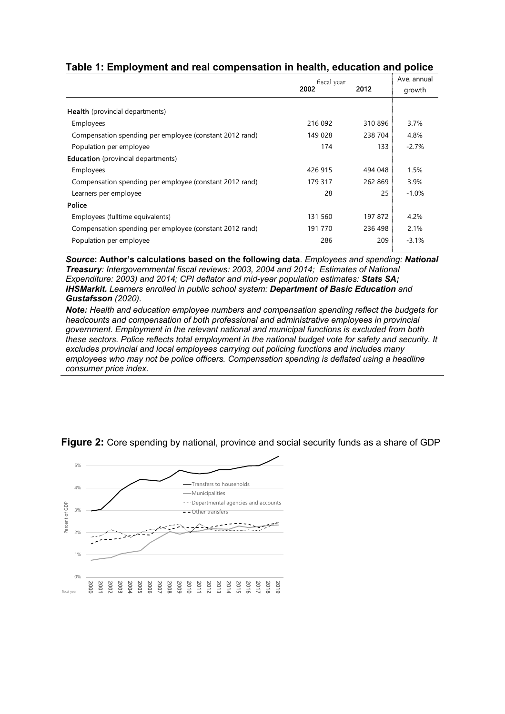#### **Table 1: Employment and real compensation in health, education and police**

|                                                         | fiscal year |         | Ave. annual |
|---------------------------------------------------------|-------------|---------|-------------|
|                                                         | 2002        | 2012    | growth      |
| <b>Health</b> (provincial departments)                  |             |         |             |
| Employees                                               | 216 092     | 310896  | 3.7%        |
| Compensation spending per employee (constant 2012 rand) | 149 028     | 238 704 | 4.8%        |
| Population per employee                                 | 174         | 133     | $-2.7%$     |
| <b>Education</b> (provincial departments)               |             |         |             |
| Employees                                               | 426 915     | 494 048 | 1.5%        |
| Compensation spending per employee (constant 2012 rand) | 179 317     | 262 869 | 3.9%        |
| Learners per employee                                   | 28          | 25      | $-1.0%$     |
| Police                                                  |             |         |             |
| Employees (fulltime equivalents)                        | 131 560     | 197 872 | 4.2%        |
| Compensation spending per employee (constant 2012 rand) | 191 770     | 236 498 | 2.1%        |
| Population per employee                                 | 286         | 209     | $-3.1%$     |

*Source***: Author's calculations based on the following data**. *Employees and spending: National Treasury: Intergovernmental fiscal reviews: 2003, 2004 and 2014; Estimates of National Expenditure: 2003) and 2014; CPI deflator and mid-year population estimates: Stats SA; IHSMarkit. Learners enrolled in public school system: Department of Basic Education and Gustafsson (2020).* 

*Note: Health and education employee numbers and compensation spending reflect the budgets for headcounts and compensation of both professional and administrative employees in provincial government. Employment in the relevant national and municipal functions is excluded from both these sectors. Police reflects total employment in the national budget vote for safety and security. It excludes provincial and local employees carrying out policing functions and includes many employees who may not be police officers. Compensation spending is deflated using a headline consumer price index.*



**Figure 2:** Core spending by national, province and social security funds as a share of GDP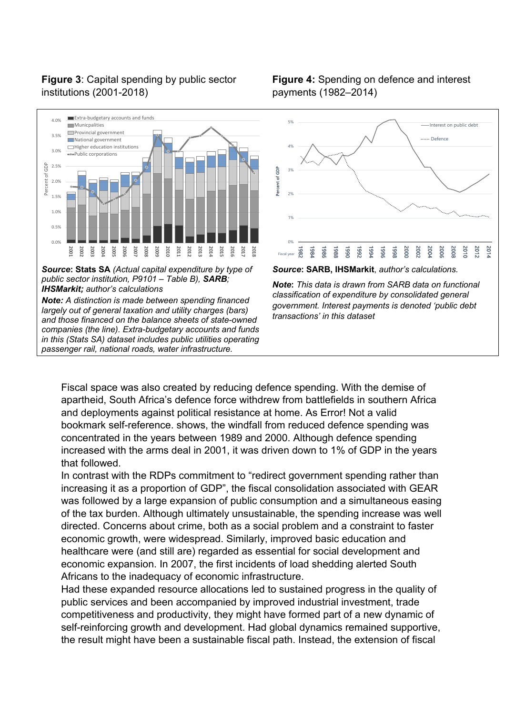## **Figure 3**: Capital spending by public sector institutions (2001-2018)



*Source***: Stats SA** *(Actual capital expenditure by type of public sector institution, P9101 – Table B), SARB; IHSMarkit; author's calculations*

*Note: A distinction is made between spending financed largely out of general taxation and utility charges (bars) and those financed on the balance sheets of state-owned companies (the line). Extra-budgetary accounts and funds in this (Stats SA) dataset includes public utilities operating passenger rail, national roads, water infrastructure.*

### **Figure 4:** Spending on defence and interest payments (1982–2014)



*Source***: SARB, IHSMarkit**, *author's calculations.*

*Note***:** *This data is drawn from SARB data on functional classification of expenditure by consolidated general government. Interest payments is denoted 'public debt transactions' in this dataset*

Fiscal space was also created by reducing defence spending. With the demise of apartheid, South Africa's defence force withdrew from battlefields in southern Africa and deployments against political resistance at home. As Error! Not a valid bookmark self-reference. shows, the windfall from reduced defence spending was concentrated in the years between 1989 and 2000. Although defence spending increased with the arms deal in 2001, it was driven down to 1% of GDP in the years that followed.

In contrast with the RDPs commitment to "redirect government spending rather than increasing it as a proportion of GDP", the fiscal consolidation associated with GEAR was followed by a large expansion of public consumption and a simultaneous easing of the tax burden. Although ultimately unsustainable, the spending increase was well directed. Concerns about crime, both as a social problem and a constraint to faster economic growth, were widespread. Similarly, improved basic education and healthcare were (and still are) regarded as essential for social development and economic expansion. In 2007, the first incidents of load shedding alerted South Africans to the inadequacy of economic infrastructure.

Had these expanded resource allocations led to sustained progress in the quality of public services and been accompanied by improved industrial investment, trade competitiveness and productivity, they might have formed part of a new dynamic of self-reinforcing growth and development. Had global dynamics remained supportive, the result might have been a sustainable fiscal path. Instead, the extension of fiscal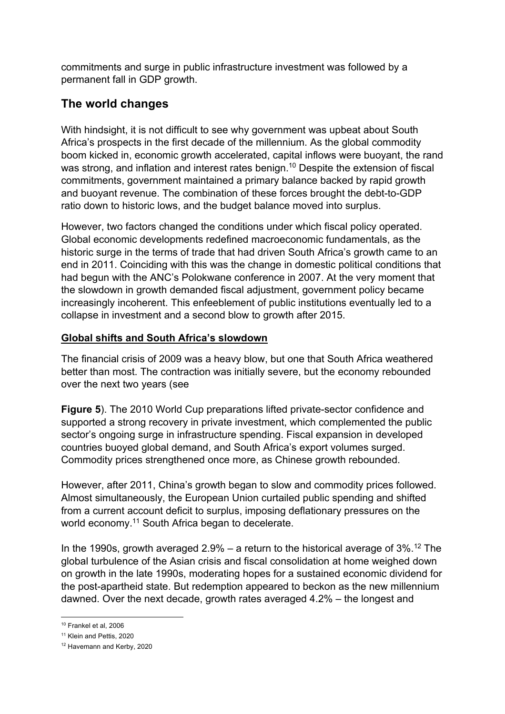commitments and surge in public infrastructure investment was followed by a permanent fall in GDP growth.

# **The world changes**

With hindsight, it is not difficult to see why government was upbeat about South Africa's prospects in the first decade of the millennium. As the global commodity boom kicked in, economic growth accelerated, capital inflows were buoyant, the rand was strong, and inflation and interest rates benign.<sup>10</sup> Despite the extension of fiscal commitments, government maintained a primary balance backed by rapid growth and buoyant revenue. The combination of these forces brought the debt-to-GDP ratio down to historic lows, and the budget balance moved into surplus.

However, two factors changed the conditions under which fiscal policy operated. Global economic developments redefined macroeconomic fundamentals, as the historic surge in the terms of trade that had driven South Africa's growth came to an end in 2011. Coinciding with this was the change in domestic political conditions that had begun with the ANC's Polokwane conference in 2007. At the very moment that the slowdown in growth demanded fiscal adjustment, government policy became increasingly incoherent. This enfeeblement of public institutions eventually led to a collapse in investment and a second blow to growth after 2015.

## **Global shifts and South Africa's slowdown**

The financial crisis of 2009 was a heavy blow, but one that South Africa weathered better than most. The contraction was initially severe, but the economy rebounded over the next two years (see

**Figure 5**). The 2010 World Cup preparations lifted private-sector confidence and supported a strong recovery in private investment, which complemented the public sector's ongoing surge in infrastructure spending. Fiscal expansion in developed countries buoyed global demand, and South Africa's export volumes surged. Commodity prices strengthened once more, as Chinese growth rebounded.

However, after 2011, China's growth began to slow and commodity prices followed. Almost simultaneously, the European Union curtailed public spending and shifted from a current account deficit to surplus, imposing deflationary pressures on the world economy.<sup>11</sup> South Africa began to decelerate.

In the 1990s, growth averaged  $2.9\%$  – a return to the historical average of  $3\%$ <sup>12</sup> The global turbulence of the Asian crisis and fiscal consolidation at home weighed down on growth in the late 1990s, moderating hopes for a sustained economic dividend for the post-apartheid state. But redemption appeared to beckon as the new millennium dawned. Over the next decade, growth rates averaged 4.2% – the longest and

<sup>10</sup> Frankel et al, 2006

<sup>&</sup>lt;sup>11</sup> Klein and Pettis, 2020

<sup>12</sup> Havemann and Kerby, 2020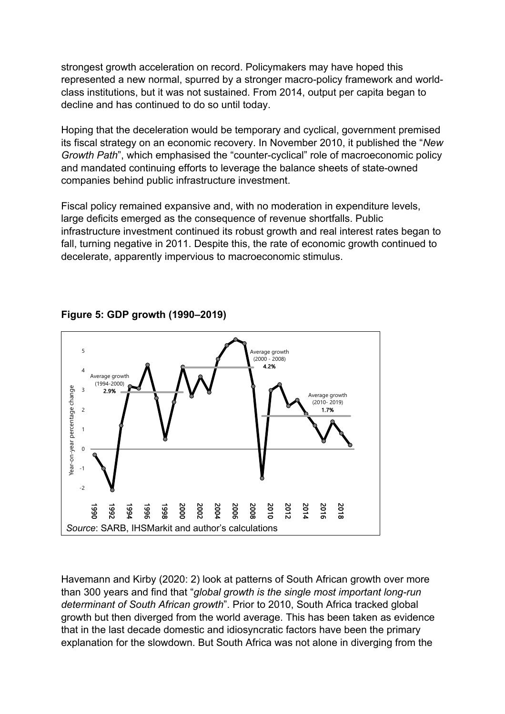strongest growth acceleration on record. Policymakers may have hoped this represented a new normal, spurred by a stronger macro-policy framework and worldclass institutions, but it was not sustained. From 2014, output per capita began to decline and has continued to do so until today.

Hoping that the deceleration would be temporary and cyclical, government premised its fiscal strategy on an economic recovery. In November 2010, it published the "*New Growth Path*", which emphasised the "counter-cyclical" role of macroeconomic policy and mandated continuing efforts to leverage the balance sheets of state-owned companies behind public infrastructure investment.

Fiscal policy remained expansive and, with no moderation in expenditure levels, large deficits emerged as the consequence of revenue shortfalls. Public infrastructure investment continued its robust growth and real interest rates began to fall, turning negative in 2011. Despite this, the rate of economic growth continued to decelerate, apparently impervious to macroeconomic stimulus.



**Figure 5: GDP growth (1990–2019)** 

Havemann and Kirby (2020: 2) look at patterns of South African growth over more than 300 years and find that "*global growth is the single most important long-run determinant of South African growth*". Prior to 2010, South Africa tracked global growth but then diverged from the world average. This has been taken as evidence that in the last decade domestic and idiosyncratic factors have been the primary explanation for the slowdown. But South Africa was not alone in diverging from the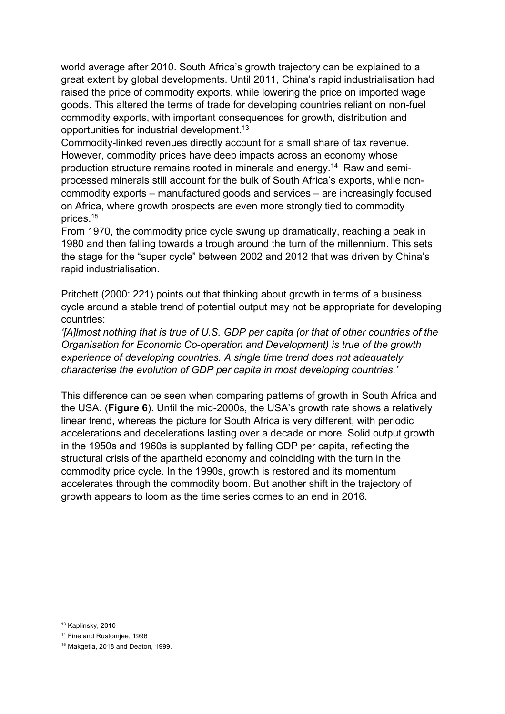world average after 2010. South Africa's growth trajectory can be explained to a great extent by global developments. Until 2011, China's rapid industrialisation had raised the price of commodity exports, while lowering the price on imported wage goods. This altered the terms of trade for developing countries reliant on non-fuel commodity exports, with important consequences for growth, distribution and opportunities for industrial development. 13

Commodity-linked revenues directly account for a small share of tax revenue. However, commodity prices have deep impacts across an economy whose production structure remains rooted in minerals and energy.<sup>14</sup> Raw and semiprocessed minerals still account for the bulk of South Africa's exports, while noncommodity exports – manufactured goods and services – are increasingly focused on Africa, where growth prospects are even more strongly tied to commodity prices. 15

From 1970, the commodity price cycle swung up dramatically, reaching a peak in 1980 and then falling towards a trough around the turn of the millennium. This sets the stage for the "super cycle" between 2002 and 2012 that was driven by China's rapid industrialisation.

Pritchett (2000: 221) points out that thinking about growth in terms of a business cycle around a stable trend of potential output may not be appropriate for developing countries:

*'[A]lmost nothing that is true of U.S. GDP per capita (or that of other countries of the Organisation for Economic Co-operation and Development) is true of the growth experience of developing countries. A single time trend does not adequately characterise the evolution of GDP per capita in most developing countries.'*

This difference can be seen when comparing patterns of growth in South Africa and the USA. (**Figure 6**). Until the mid-2000s, the USA's growth rate shows a relatively linear trend, whereas the picture for South Africa is very different, with periodic accelerations and decelerations lasting over a decade or more. Solid output growth in the 1950s and 1960s is supplanted by falling GDP per capita, reflecting the structural crisis of the apartheid economy and coinciding with the turn in the commodity price cycle. In the 1990s, growth is restored and its momentum accelerates through the commodity boom. But another shift in the trajectory of growth appears to loom as the time series comes to an end in 2016.

<sup>13</sup> Kaplinsky, 2010

<sup>&</sup>lt;sup>14</sup> Fine and Rustomiee, 1996

<sup>15</sup> Makgetla, 2018 and Deaton, 1999.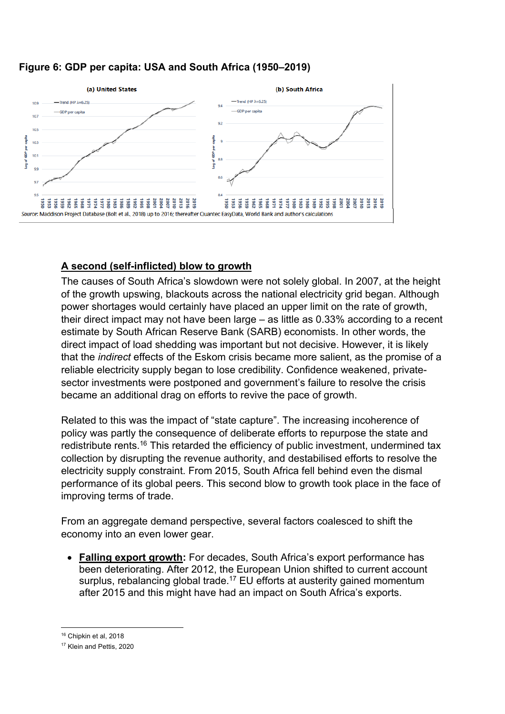#### **Figure 6: GDP per capita: USA and South Africa (1950–2019)**



## **A second (self-inflicted) blow to growth**

The causes of South Africa's slowdown were not solely global. In 2007, at the height of the growth upswing, blackouts across the national electricity grid began. Although power shortages would certainly have placed an upper limit on the rate of growth, their direct impact may not have been large – as little as 0.33% according to a recent estimate by South African Reserve Bank (SARB) economists. In other words, the direct impact of load shedding was important but not decisive. However, it is likely that the *indirect* effects of the Eskom crisis became more salient, as the promise of a reliable electricity supply began to lose credibility. Confidence weakened, privatesector investments were postponed and government's failure to resolve the crisis became an additional drag on efforts to revive the pace of growth.

Related to this was the impact of "state capture". The increasing incoherence of policy was partly the consequence of deliberate efforts to repurpose the state and redistribute rents.<sup>16</sup> This retarded the efficiency of public investment, undermined tax collection by disrupting the revenue authority, and destabilised efforts to resolve the electricity supply constraint. From 2015, South Africa fell behind even the dismal performance of its global peers. This second blow to growth took place in the face of improving terms of trade.

From an aggregate demand perspective, several factors coalesced to shift the economy into an even lower gear.

• **Falling export growth:** For decades, South Africa's export performance has been deteriorating. After 2012, the European Union shifted to current account surplus, rebalancing global trade.<sup>17</sup> EU efforts at austerity gained momentum after 2015 and this might have had an impact on South Africa's exports.

<sup>16</sup> Chipkin et al, 2018

<sup>17</sup> Klein and Pettis, 2020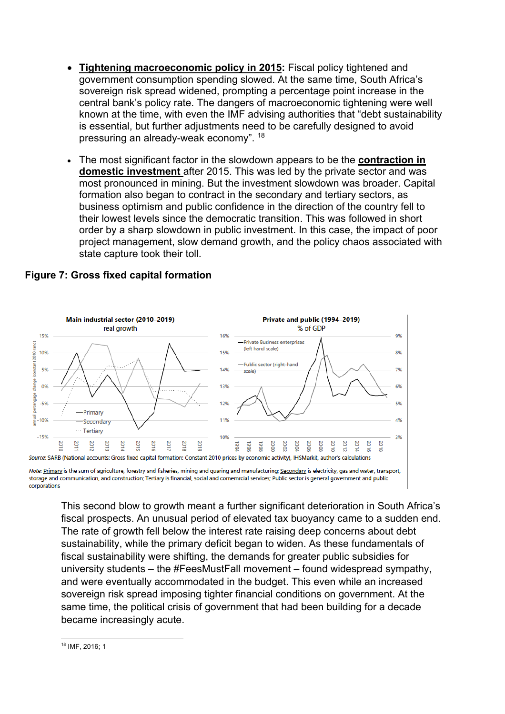- **Tightening macroeconomic policy in 2015:** Fiscal policy tightened and government consumption spending slowed. At the same time, South Africa's sovereign risk spread widened, prompting a percentage point increase in the central bank's policy rate. The dangers of macroeconomic tightening were well known at the time, with even the IMF advising authorities that "debt sustainability is essential, but further adjustments need to be carefully designed to avoid pressuring an already-weak economy". <sup>18</sup>
- The most significant factor in the slowdown appears to be the **contraction in domestic investment** after 2015. This was led by the private sector and was most pronounced in mining. But the investment slowdown was broader. Capital formation also began to contract in the secondary and tertiary sectors, as business optimism and public confidence in the direction of the country fell to their lowest levels since the democratic transition. This was followed in short order by a sharp slowdown in public investment. In this case, the impact of poor project management, slow demand growth, and the policy chaos associated with state capture took their toll.



#### **Figure 7: Gross fixed capital formation**

storage and communication, and construction; Tertiary is financial, social and comemrcial services; Public sector is general government and public corporations

This second blow to growth meant a further significant deterioration in South Africa's fiscal prospects. An unusual period of elevated tax buoyancy came to a sudden end. The rate of growth fell below the interest rate raising deep concerns about debt sustainability, while the primary deficit began to widen. As these fundamentals of fiscal sustainability were shifting, the demands for greater public subsidies for university students – the #FeesMustFall movement – found widespread sympathy, and were eventually accommodated in the budget. This even while an increased sovereign risk spread imposing tighter financial conditions on government. At the same time, the political crisis of government that had been building for a decade became increasingly acute.

<sup>18</sup> IMF, 2016; 1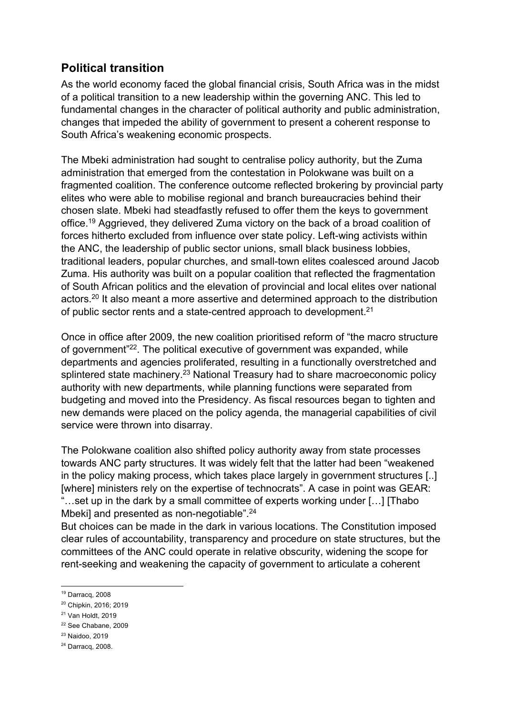# **Political transition**

As the world economy faced the global financial crisis, South Africa was in the midst of a political transition to a new leadership within the governing ANC. This led to fundamental changes in the character of political authority and public administration, changes that impeded the ability of government to present a coherent response to South Africa's weakening economic prospects.

The Mbeki administration had sought to centralise policy authority, but the Zuma administration that emerged from the contestation in Polokwane was built on a fragmented coalition. The conference outcome reflected brokering by provincial party elites who were able to mobilise regional and branch bureaucracies behind their chosen slate. Mbeki had steadfastly refused to offer them the keys to government office.<sup>19</sup> Aggrieved, they delivered Zuma victory on the back of a broad coalition of forces hitherto excluded from influence over state policy. Left-wing activists within the ANC, the leadership of public sector unions, small black business lobbies, traditional leaders, popular churches, and small-town elites coalesced around Jacob Zuma. His authority was built on a popular coalition that reflected the fragmentation of South African politics and the elevation of provincial and local elites over national actors.<sup>20</sup> It also meant a more assertive and determined approach to the distribution of public sector rents and a state-centred approach to development.<sup>21</sup>

Once in office after 2009, the new coalition prioritised reform of "the macro structure of government"22. The political executive of government was expanded, while departments and agencies proliferated, resulting in a functionally overstretched and splintered state machinery.<sup>23</sup> National Treasury had to share macroeconomic policy authority with new departments, while planning functions were separated from budgeting and moved into the Presidency. As fiscal resources began to tighten and new demands were placed on the policy agenda, the managerial capabilities of civil service were thrown into disarray.

The Polokwane coalition also shifted policy authority away from state processes towards ANC party structures. It was widely felt that the latter had been "weakened in the policy making process, which takes place largely in government structures [..] [where] ministers rely on the expertise of technocrats". A case in point was GEAR: "…set up in the dark by a small committee of experts working under […] [Thabo Mbeki] and presented as non-negotiable".<sup>24</sup>

But choices can be made in the dark in various locations. The Constitution imposed clear rules of accountability, transparency and procedure on state structures, but the committees of the ANC could operate in relative obscurity, widening the scope for rent-seeking and weakening the capacity of government to articulate a coherent

<sup>24</sup> Darracq, 2008.

<sup>19</sup> Darracq, 2008

<sup>20</sup> Chipkin, 2016; 2019

<sup>21</sup> Van Holdt, 2019

<sup>22</sup> See Chabane, 2009

<sup>23</sup> Naidoo, 2019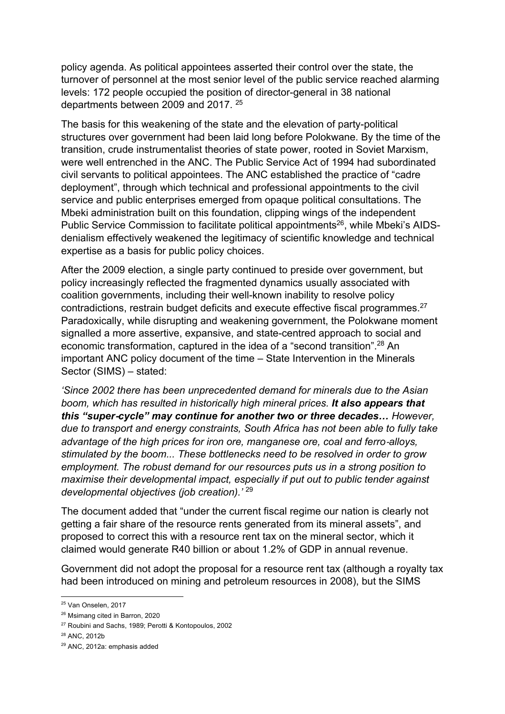policy agenda. As political appointees asserted their control over the state, the turnover of personnel at the most senior level of the public service reached alarming levels: 172 people occupied the position of director-general in 38 national departments between 2009 and 2017. <sup>25</sup>

The basis for this weakening of the state and the elevation of party-political structures over government had been laid long before Polokwane. By the time of the transition, crude instrumentalist theories of state power, rooted in Soviet Marxism, were well entrenched in the ANC. The Public Service Act of 1994 had subordinated civil servants to political appointees. The ANC established the practice of "cadre deployment", through which technical and professional appointments to the civil service and public enterprises emerged from opaque political consultations. The Mbeki administration built on this foundation, clipping wings of the independent Public Service Commission to facilitate political appointments<sup>26</sup>, while Mbeki's AIDSdenialism effectively weakened the legitimacy of scientific knowledge and technical expertise as a basis for public policy choices.

After the 2009 election, a single party continued to preside over government, but policy increasingly reflected the fragmented dynamics usually associated with coalition governments, including their well-known inability to resolve policy contradictions, restrain budget deficits and execute effective fiscal programmes.<sup>27</sup> Paradoxically, while disrupting and weakening government, the Polokwane moment signalled a more assertive, expansive, and state-centred approach to social and economic transformation, captured in the idea of a "second transition".<sup>28</sup> An important ANC policy document of the time – State Intervention in the Minerals Sector (SIMS) – stated:

*'Since 2002 there has been unprecedented demand for minerals due to the Asian boom, which has resulted in historically high mineral prices. It also appears that this "super*-*cycle" may continue for another two or three decades… However, due to transport and energy constraints, South Africa has not been able to fully take advantage of the high prices for iron ore, manganese ore, coal and ferro*-*alloys, stimulated by the boom... These bottlenecks need to be resolved in order to grow employment. The robust demand for our resources puts us in a strong position to maximise their developmental impact, especially if put out to public tender against developmental objectives (job creation).'* <sup>29</sup>

The document added that "under the current fiscal regime our nation is clearly not getting a fair share of the resource rents generated from its mineral assets", and proposed to correct this with a resource rent tax on the mineral sector, which it claimed would generate R40 billion or about 1.2% of GDP in annual revenue.

Government did not adopt the proposal for a resource rent tax (although a royalty tax had been introduced on mining and petroleum resources in 2008), but the SIMS

<sup>25</sup> Van Onselen, 2017

<sup>26</sup> Msimang cited in Barron, 2020

<sup>27</sup> Roubini and Sachs, 1989; Perotti & Kontopoulos, 2002

<sup>28</sup> ANC, 2012b

<sup>29</sup> ANC, 2012a: emphasis added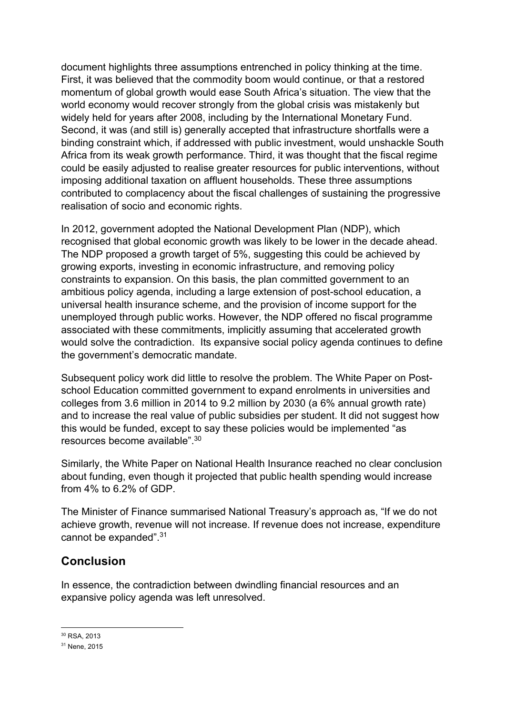document highlights three assumptions entrenched in policy thinking at the time. First, it was believed that the commodity boom would continue, or that a restored momentum of global growth would ease South Africa's situation. The view that the world economy would recover strongly from the global crisis was mistakenly but widely held for years after 2008, including by the International Monetary Fund. Second, it was (and still is) generally accepted that infrastructure shortfalls were a binding constraint which, if addressed with public investment, would unshackle South Africa from its weak growth performance. Third, it was thought that the fiscal regime could be easily adjusted to realise greater resources for public interventions, without imposing additional taxation on affluent households. These three assumptions contributed to complacency about the fiscal challenges of sustaining the progressive realisation of socio and economic rights.

In 2012, government adopted the National Development Plan (NDP), which recognised that global economic growth was likely to be lower in the decade ahead. The NDP proposed a growth target of 5%, suggesting this could be achieved by growing exports, investing in economic infrastructure, and removing policy constraints to expansion. On this basis, the plan committed government to an ambitious policy agenda, including a large extension of post-school education, a universal health insurance scheme, and the provision of income support for the unemployed through public works. However, the NDP offered no fiscal programme associated with these commitments, implicitly assuming that accelerated growth would solve the contradiction. Its expansive social policy agenda continues to define the government's democratic mandate.

Subsequent policy work did little to resolve the problem. The White Paper on Postschool Education committed government to expand enrolments in universities and colleges from 3.6 million in 2014 to 9.2 million by 2030 (a 6% annual growth rate) and to increase the real value of public subsidies per student. It did not suggest how this would be funded, except to say these policies would be implemented "as resources become available".<sup>30</sup>

Similarly, the White Paper on National Health Insurance reached no clear conclusion about funding, even though it projected that public health spending would increase from 4% to 6.2% of GDP.

The Minister of Finance summarised National Treasury's approach as, "If we do not achieve growth, revenue will not increase. If revenue does not increase, expenditure cannot be expanded".<sup>31</sup>

# **Conclusion**

In essence, the contradiction between dwindling financial resources and an expansive policy agenda was left unresolved.

<sup>30</sup> RSA, 2013

<sup>31</sup> Nene, 2015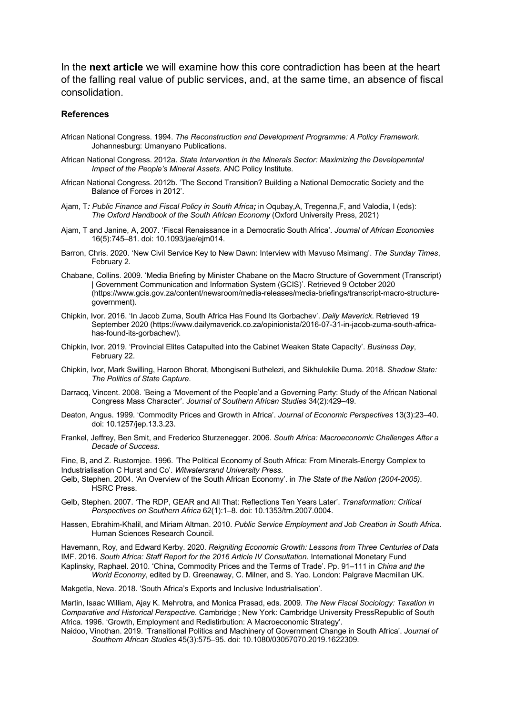In the **next article** we will examine how this core contradiction has been at the heart of the falling real value of public services, and, at the same time, an absence of fiscal consolidation.

#### **References**

- African National Congress. 1994. *The Reconstruction and Development Programme: A Policy Framework*. Johannesburg: Umanyano Publications.
- African National Congress. 2012a. *State Intervention in the Minerals Sector: Maximizing the Developemntal Impact of the People's Mineral Assets*. ANC Policy Institute.
- African National Congress. 2012b. 'The Second Transition? Building a National Democratic Society and the Balance of Forces in 2012'.
- Ajam, T*: Public Finance and Fiscal Policy in South Africa;* in Oqubay,A, Tregenna,F, and Valodia, I (eds): *The Oxford Handbook of the South African Economy* (Oxford University Press, 2021)
- Ajam, T and Janine, A, 2007. 'Fiscal Renaissance in a Democratic South Africa'. *Journal of African Economies* 16(5):745–81. doi: 10.1093/jae/ejm014.
- Barron, Chris. 2020. 'New Civil Service Key to New Dawn: Interview with Mavuso Msimang'. *The Sunday Times*, February 2.
- Chabane, Collins. 2009. 'Media Briefing by Minister Chabane on the Macro Structure of Government (Transcript) | Government Communication and Information System (GCIS)'. Retrieved 9 October 2020 (https://www.gcis.gov.za/content/newsroom/media-releases/media-briefings/transcript-macro-structuregovernment).
- Chipkin, Ivor. 2016. 'In Jacob Zuma, South Africa Has Found Its Gorbachev'. *Daily Maverick*. Retrieved 19 September 2020 (https://www.dailymaverick.co.za/opinionista/2016-07-31-in-jacob-zuma-south-africahas-found-its-gorbachev/).
- Chipkin, Ivor. 2019. 'Provincial Elites Catapulted into the Cabinet Weaken State Capacity'. *Business Day*, February 22.
- Chipkin, Ivor, Mark Swilling, Haroon Bhorat, Mbongiseni Buthelezi, and Sikhulekile Duma. 2018. *Shadow State: The Politics of State Capture*.
- Darracq, Vincent. 2008. 'Being a 'Movement of the People'and a Governing Party: Study of the African National Congress Mass Character'. *Journal of Southern African Studies* 34(2):429–49.
- Deaton, Angus. 1999. 'Commodity Prices and Growth in Africa'. *Journal of Economic Perspectives* 13(3):23–40. doi: 10.1257/jep.13.3.23.
- Frankel, Jeffrey, Ben Smit, and Frederico Sturzenegger. 2006. *South Africa: Macroeconomic Challenges After a Decade of Success*.

Fine, B, and Z. Rustomjee. 1996. 'The Political Economy of South Africa: From Minerals-Energy Complex to Industrialisation C Hurst and Co'. *Witwatersrand University Press*.

- Gelb, Stephen. 2004. 'An Overview of the South African Economy'. in *The State of the Nation (2004-2005)*. HSRC Press.
- Gelb, Stephen. 2007. 'The RDP, GEAR and All That: Reflections Ten Years Later'. *Transformation: Critical Perspectives on Southern Africa* 62(1):1–8. doi: 10.1353/trn.2007.0004.
- Hassen, Ebrahim-Khalil, and Miriam Altman. 2010. *Public Service Employment and Job Creation in South Africa*. Human Sciences Research Council.

Havemann, Roy, and Edward Kerby. 2020. *Reigniting Economic Growth: Lessons from Three Centuries of Data* IMF. 2016. *South Africa: Staff Report for the 2016 Article IV Consultation*. International Monetary Fund Kaplinsky, Raphael. 2010. 'China, Commodity Prices and the Terms of Trade'. Pp. 91–111 in *China and the World Economy*, edited by D. Greenaway, C. Milner, and S. Yao. London: Palgrave Macmillan UK.

Makgetla, Neva. 2018. 'South Africa's Exports and Inclusive Industrialisation'.

Martin, Isaac William, Ajay K. Mehrotra, and Monica Prasad, eds. 2009. *The New Fiscal Sociology: Taxation in Comparative and Historical Perspective*. Cambridge ; New York: Cambridge University PressRepublic of South Africa. 1996. 'Growth, Employment and Redistirbution: A Macroeconomic Strategy'.

Naidoo, Vinothan. 2019. 'Transitional Politics and Machinery of Government Change in South Africa'. *Journal of Southern African Studies* 45(3):575–95. doi: 10.1080/03057070.2019.1622309.